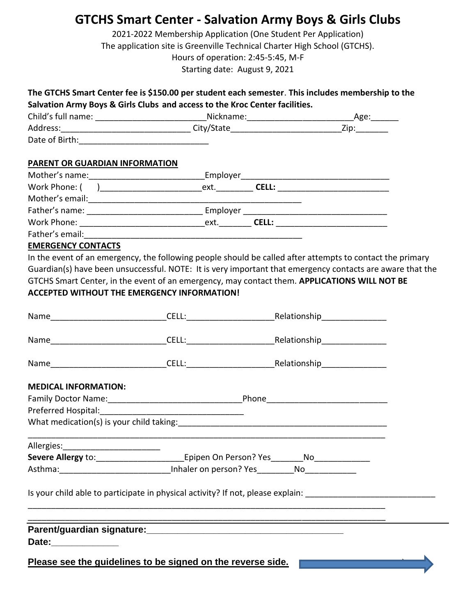## **GTCHS Smart Center - Salvation Army Boys & Girls Clubs**

2021-2022 Membership Application (One Student Per Application) The application site is Greenville Technical Charter High School (GTCHS). Hours of operation: 2:45-5:45, M-F Starting date: August 9, 2021

|                           | The GTCHS Smart Center fee is \$150.00 per student each semester. This includes membership to the<br>Salvation Army Boys & Girls Clubs and access to the Kroc Center facilities. |  |  |
|---------------------------|----------------------------------------------------------------------------------------------------------------------------------------------------------------------------------|--|--|
|                           |                                                                                                                                                                                  |  |  |
|                           |                                                                                                                                                                                  |  |  |
|                           |                                                                                                                                                                                  |  |  |
|                           | PARENT OR GUARDIAN INFORMATION                                                                                                                                                   |  |  |
|                           |                                                                                                                                                                                  |  |  |
|                           |                                                                                                                                                                                  |  |  |
|                           |                                                                                                                                                                                  |  |  |
|                           |                                                                                                                                                                                  |  |  |
|                           |                                                                                                                                                                                  |  |  |
|                           |                                                                                                                                                                                  |  |  |
| <b>EMERGENCY CONTACTS</b> |                                                                                                                                                                                  |  |  |
|                           | In the event of an emergency, the following people should be called after attempts to contact the primary                                                                        |  |  |
|                           | Guardian(s) have been unsuccessful. NOTE: It is very important that emergency contacts are aware that the                                                                        |  |  |
|                           | GTCHS Smart Center, in the event of an emergency, may contact them. APPLICATIONS WILL NOT BE                                                                                     |  |  |
|                           | <b>ACCEPTED WITHOUT THE EMERGENCY INFORMATION!</b>                                                                                                                               |  |  |
|                           | Name CELL: CELL: Relationship                                                                                                                                                    |  |  |
|                           |                                                                                                                                                                                  |  |  |

**MEDICAL INFORMATION:**

| <b>Family Doctor Name:</b>               | Phone |
|------------------------------------------|-------|
| Preferred Hospital:                      |       |
| What medication(s) is your child taking: |       |

Name\_\_\_\_\_\_\_\_\_\_\_\_\_\_\_\_\_\_\_\_\_\_\_\_\_CELL:\_\_\_\_\_\_\_\_\_\_\_\_\_\_\_\_\_\_\_Relationship\_\_\_\_\_\_\_\_\_\_\_\_\_\_

| Allergies:                |                        |    |  |
|---------------------------|------------------------|----|--|
| <b>Severe Allergy to:</b> | Epipen On Person? Yes  | No |  |
| Asthma:                   | Inhaler on person? Yes | No |  |

\_\_\_\_\_\_\_\_\_\_\_\_\_\_\_\_\_\_\_\_\_\_\_\_\_\_\_\_\_\_\_\_\_\_\_\_\_\_\_\_\_\_\_\_\_\_\_\_\_\_\_\_\_\_\_\_\_\_\_\_\_\_\_\_\_\_\_\_\_\_\_\_\_\_\_\_\_

\_\_\_\_\_\_\_\_\_\_\_\_\_\_\_\_\_\_\_\_\_\_\_\_\_\_\_\_\_\_\_\_\_\_\_\_\_\_\_\_\_\_\_\_\_\_\_\_\_\_\_\_\_\_\_\_\_\_\_\_\_\_\_\_\_\_\_\_\_\_\_\_\_\_\_\_\_

Is your child able to participate in physical activity? If not, please explain:

| Parent/guardian signature: |  |
|----------------------------|--|
| Date:                      |  |
|                            |  |

**Please see the guidelines to be signed on the reverse side.**